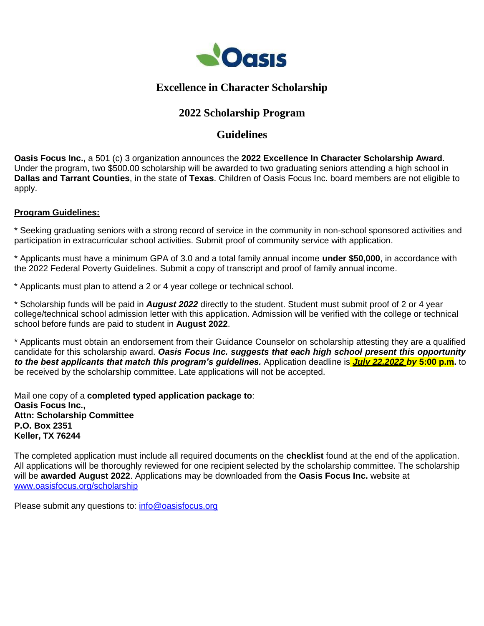

## **Excellence in Character Scholarship**

# **2022 Scholarship Program**

## **Guidelines**

**Oasis Focus Inc.,** a 501 (c) 3 organization announces the **2022 Excellence In Character Scholarship Award**. Under the program, two \$500.00 scholarship will be awarded to two graduating seniors attending a high school in **Dallas and Tarrant Counties**, in the state of **Texas**. Children of Oasis Focus Inc. board members are not eligible to apply.

### **Program Guidelines:**

\* Seeking graduating seniors with a strong record of service in the community in non-school sponsored activities and participation in extracurricular school activities. Submit proof of community service with application.

\* Applicants must have a minimum GPA of 3.0 and a total family annual income **under \$50,000**, in accordance with the 2022 Federal Poverty Guidelines. Submit a copy of transcript and proof of family annual income.

\* Applicants must plan to attend a 2 or 4 year college or technical school.

\* Scholarship funds will be paid in *August 2022* directly to the student. Student must submit proof of 2 or 4 year college/technical school admission letter with this application. Admission will be verified with the college or technical school before funds are paid to student in **August 2022**.

\* Applicants must obtain an endorsement from their Guidance Counselor on scholarship attesting they are a qualified candidate for this scholarship award. *Oasis Focus Inc. suggests that each high school present this opportunity to the best applicants that match this program's guidelines.* Application deadline is *July 22,2022 by* **5:00 p.m.** to be received by the scholarship committee. Late applications will not be accepted.

Mail one copy of a **completed typed application package to**: **Oasis Focus Inc., Attn: Scholarship Committee P.O. Box 2351 Keller, TX 76244**

The completed application must include all required documents on the **checklist** found at the end of the application. All applications will be thoroughly reviewed for one recipient selected by the scholarship committee. The scholarship will be **awarded August 2022**. Applications may be downloaded from the **Oasis Focus Inc.** website at [www.oasisfocus.org/scholarship](http://www.oasisfocus.org/scholarship)

Please submit any questions to: [info@oasisfocus.org](mailto:info@oasisfocus.org)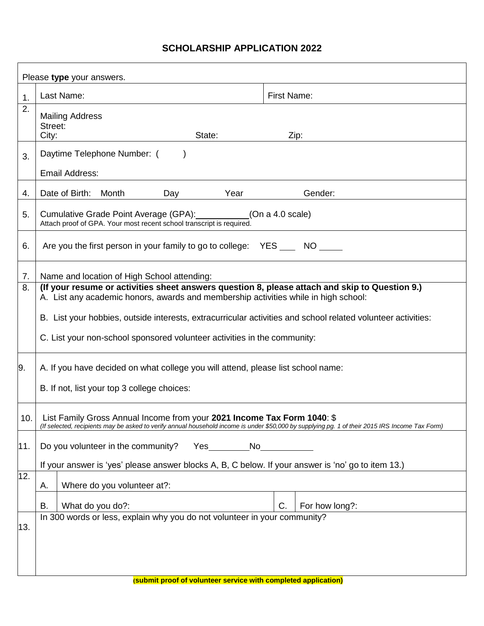### **SCHOLARSHIP APPLICATION 2022**

| Please type your answers. |                                                                                                                                                                                                                            |                    |  |
|---------------------------|----------------------------------------------------------------------------------------------------------------------------------------------------------------------------------------------------------------------------|--------------------|--|
| 1.                        | Last Name:                                                                                                                                                                                                                 | <b>First Name:</b> |  |
| 2.                        | <b>Mailing Address</b><br>Street:<br>State:<br>City:                                                                                                                                                                       | Zip:               |  |
| 3.                        | Daytime Telephone Number: (<br><b>Email Address:</b>                                                                                                                                                                       |                    |  |
| 4.                        | Year<br>Date of Birth:<br>Month<br>Day                                                                                                                                                                                     | Gender:            |  |
| 5.                        | Cumulative Grade Point Average (GPA):<br>(On a 4.0 scale)<br>Attach proof of GPA. Your most recent school transcript is required.                                                                                          |                    |  |
| 6.                        | Are you the first person in your family to go to college: YES NO                                                                                                                                                           |                    |  |
| 7.                        | Name and location of High School attending:                                                                                                                                                                                |                    |  |
| 8.                        | (If your resume or activities sheet answers question 8, please attach and skip to Question 9.)<br>A. List any academic honors, awards and membership activities while in high school:                                      |                    |  |
|                           |                                                                                                                                                                                                                            |                    |  |
|                           | B. List your hobbies, outside interests, extracurricular activities and school related volunteer activities:                                                                                                               |                    |  |
|                           | C. List your non-school sponsored volunteer activities in the community:                                                                                                                                                   |                    |  |
| 9.                        | A. If you have decided on what college you will attend, please list school name:                                                                                                                                           |                    |  |
|                           | B. If not, list your top 3 college choices:                                                                                                                                                                                |                    |  |
| 10.                       | List Family Gross Annual Income from your 2021 Income Tax Form 1040: \$<br>(If selected, recipients may be asked to verify annual household income is under \$50,000 by supplying pg. 1 of their 2015 IRS Income Tax Form) |                    |  |
| 11.                       | Do you volunteer in the community?<br>Yes No                                                                                                                                                                               |                    |  |
|                           | If your answer is 'yes' please answer blocks A, B, C below. If your answer is 'no' go to item 13.)                                                                                                                         |                    |  |
| 12.                       | Where do you volunteer at?:<br>А.                                                                                                                                                                                          |                    |  |
|                           |                                                                                                                                                                                                                            | C.                 |  |
|                           | What do you do?:<br>В.<br>In 300 words or less, explain why you do not volunteer in your community?                                                                                                                        | For how long?:     |  |
| 13.                       |                                                                                                                                                                                                                            |                    |  |
|                           |                                                                                                                                                                                                                            |                    |  |
|                           |                                                                                                                                                                                                                            |                    |  |
|                           | (submit proof of volunteer service with completed application)                                                                                                                                                             |                    |  |